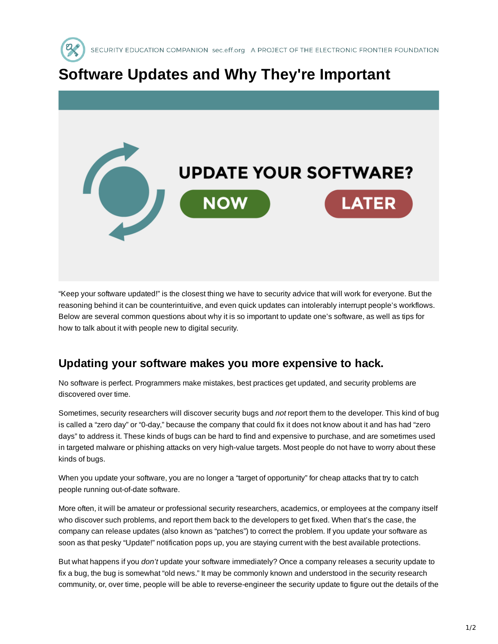

## **Software Updates and Why They're Important**



"Keep your software updated!" is the closest thing we have to security advice that will work for everyone. But the reasoning behind it can be counterintuitive, and even quick updates can intolerably interrupt people's workflows. Below are several common questions about why it is so important to update one's software, as well as tips for how to talk about it with people new to digital security.

## **Updating your software makes you more expensive to hack.**

No software is perfect. Programmers make mistakes, best practices get updated, and security problems are discovered over time.

Sometimes, security researchers will discover security bugs and *not* report them to the developer. This kind of bug is called a "zero day" or "0-day," because the company that could fix it does not know about it and has had "zero days" to address it. These kinds of bugs can be hard to find and expensive to purchase, and are sometimes used in targeted malware or phishing attacks on very high-value targets. Most people do not have to worry about these kinds of bugs.

When you update your software, you are no longer a "target of opportunity" for cheap attacks that try to catch people running out-of-date software.

More often, it will be amateur or professional security researchers, academics, or employees at the company itself who discover such problems, and report them back to the developers to get fixed. When that's the case, the company can release updates (also known as "patches") to correct the problem. If you update your software as soon as that pesky "Update!" notification pops up, you are staying current with the best available protections.

But what happens if you *don't* update your software immediately? Once a company releases a security update to fix a bug, the bug is somewhat "old news." It may be commonly known and understood in the security research community, or, over time, people will be able to reverse-engineer the security update to figure out the details of the